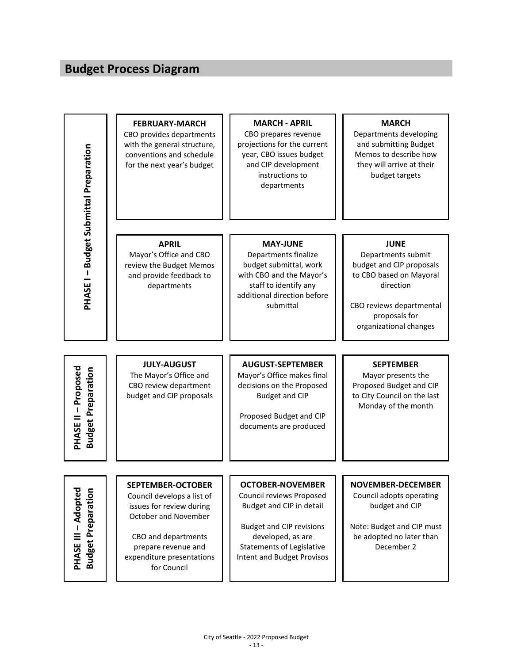## **Budget Process Diagram**

| <b>PHASE I - Budget Submittal Preparation</b>           | <b>FEBRUARY-MARCH</b><br>CBO provides departments<br>with the general structure,<br>conventions and schedule<br>for the next year's budget                                                           | <b>MARCH - APRIL</b><br>CBO prepares revenue<br>projections for the current<br>year, CBO issues budget<br>and CIP development<br>instructions to<br>departments                                           | <b>MARCH</b><br>Departments developing<br>and submitting Budget<br>Memos to describe how<br>they will arrive at their<br>budget targets                                      |
|---------------------------------------------------------|------------------------------------------------------------------------------------------------------------------------------------------------------------------------------------------------------|-----------------------------------------------------------------------------------------------------------------------------------------------------------------------------------------------------------|------------------------------------------------------------------------------------------------------------------------------------------------------------------------------|
|                                                         | <b>APRIL</b><br>Mayor's Office and CBO<br>review the Budget Memos<br>and provide feedback to<br>departments                                                                                          | <b>MAY-JUNE</b><br>Departments finalize<br>budget submittal, work<br>with CBO and the Mayor's<br>staff to identify any<br>additional direction before<br>submittal                                        | <b>JUNE</b><br>Departments submit<br>budget and CIP proposals<br>to CBO based on Mayoral<br>direction<br>CBO reviews departmental<br>proposals for<br>organizational changes |
| <b>PHASE II - Proposed</b><br><b>Budget Preparation</b> | <b>JULY-AUGUST</b><br>The Mayor's Office and<br>CBO review department<br>budget and CIP proposals                                                                                                    | <b>AUGUST-SEPTEMBER</b><br>Mayor's Office makes final<br>decisions on the Proposed<br><b>Budget and CIP</b><br>Proposed Budget and CIP<br>documents are produced                                          | <b>SEPTEMBER</b><br>Mayor presents the<br>Proposed Budget and CIP<br>to City Council on the last<br>Monday of the month                                                      |
| <b>PHASE III - Adopted</b><br><b>Budget Preparation</b> | <b>SEPTEMBER-OCTOBER</b><br>Council develops a list of<br>issues for review during<br>October and November<br>CBO and departments<br>prepare revenue and<br>expenditure presentations<br>for Council | <b>OCTOBER-NOVEMBER</b><br>Council reviews Proposed<br>Budget and CIP in detail<br><b>Budget and CIP revisions</b><br>developed, as are<br><b>Statements of Legislative</b><br>Intent and Budget Provisos | <b>NOVEMBER-DECEMBER</b><br>Council adopts operating<br>budget and CIP<br>Note: Budget and CIP must<br>be adopted no later than<br>December 2                                |